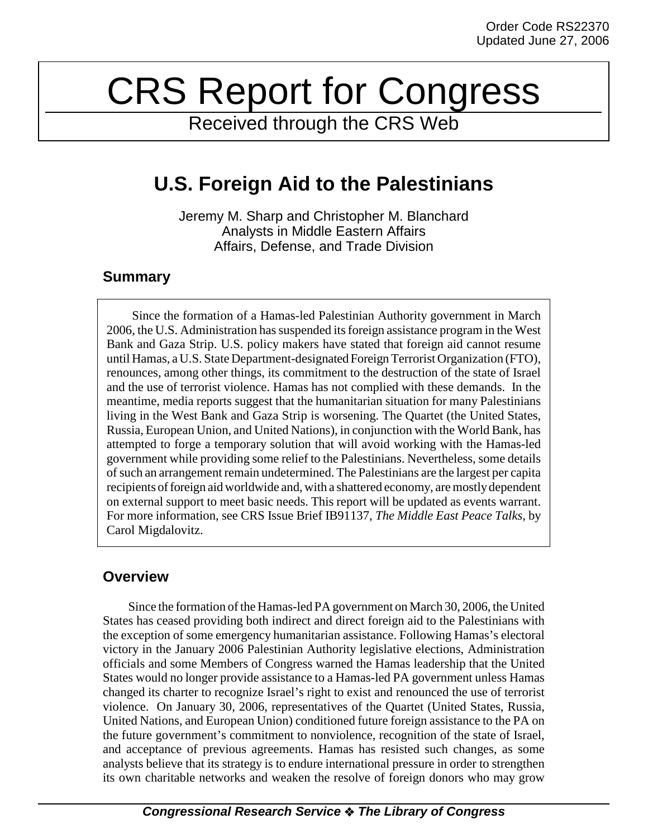# CRS Report for Congress

Received through the CRS Web

# **U.S. Foreign Aid to the Palestinians**

Jeremy M. Sharp and Christopher M. Blanchard Analysts in Middle Eastern Affairs Affairs, Defense, and Trade Division

### **Summary**

Since the formation of a Hamas-led Palestinian Authority government in March 2006, the U.S. Administration has suspended its foreign assistance program in the West Bank and Gaza Strip. U.S. policy makers have stated that foreign aid cannot resume until Hamas, a U.S. State Department-designated Foreign Terrorist Organization (FTO), renounces, among other things, its commitment to the destruction of the state of Israel and the use of terrorist violence. Hamas has not complied with these demands. In the meantime, media reports suggest that the humanitarian situation for many Palestinians living in the West Bank and Gaza Strip is worsening. The Quartet (the United States, Russia, European Union, and United Nations), in conjunction with the World Bank, has attempted to forge a temporary solution that will avoid working with the Hamas-led government while providing some relief to the Palestinians. Nevertheless, some details of such an arrangement remain undetermined. The Palestinians are the largest per capita recipients of foreign aid worldwide and, with a shattered economy, are mostly dependent on external support to meet basic needs. This report will be updated as events warrant. For more information, see CRS Issue Brief IB91137, *The Middle East Peace Talks*, by Carol Migdalovitz.

# **Overview**

Since the formation of the Hamas-led PA government on March 30, 2006, the United States has ceased providing both indirect and direct foreign aid to the Palestinians with the exception of some emergency humanitarian assistance. Following Hamas's electoral victory in the January 2006 Palestinian Authority legislative elections, Administration officials and some Members of Congress warned the Hamas leadership that the United States would no longer provide assistance to a Hamas-led PA government unless Hamas changed its charter to recognize Israel's right to exist and renounced the use of terrorist violence. On January 30, 2006, representatives of the Quartet (United States, Russia, United Nations, and European Union) conditioned future foreign assistance to the PA on the future government's commitment to nonviolence, recognition of the state of Israel, and acceptance of previous agreements. Hamas has resisted such changes, as some analysts believe that its strategy is to endure international pressure in order to strengthen its own charitable networks and weaken the resolve of foreign donors who may grow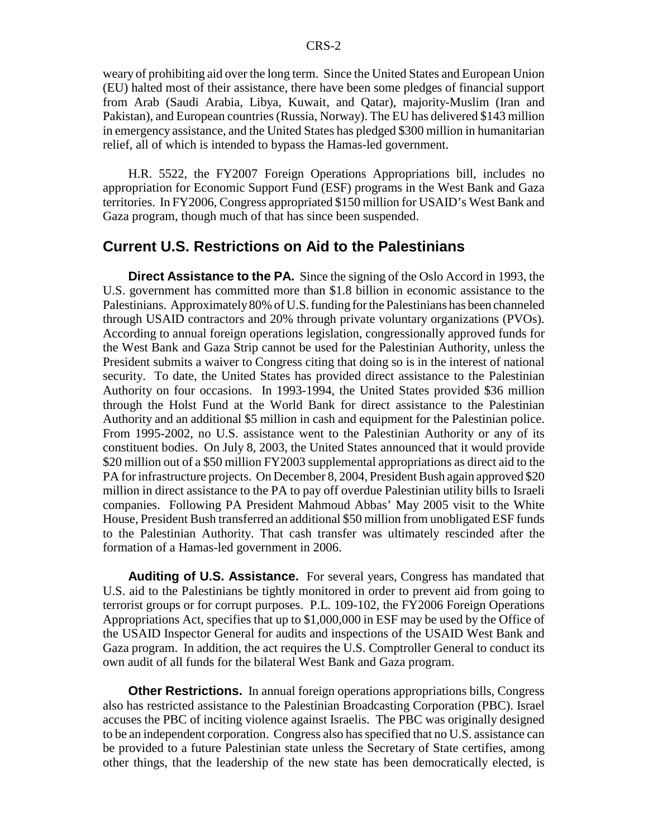weary of prohibiting aid over the long term. Since the United States and European Union (EU) halted most of their assistance, there have been some pledges of financial support from Arab (Saudi Arabia, Libya, Kuwait, and Qatar), majority-Muslim (Iran and Pakistan), and European countries (Russia, Norway). The EU has delivered \$143 million in emergency assistance, and the United States has pledged \$300 million in humanitarian relief, all of which is intended to bypass the Hamas-led government.

H.R. 5522, the FY2007 Foreign Operations Appropriations bill, includes no appropriation for Economic Support Fund (ESF) programs in the West Bank and Gaza territories. In FY2006, Congress appropriated \$150 million for USAID's West Bank and Gaza program, though much of that has since been suspended.

#### **Current U.S. Restrictions on Aid to the Palestinians**

**Direct Assistance to the PA.** Since the signing of the Oslo Accord in 1993, the U.S. government has committed more than \$1.8 billion in economic assistance to the Palestinians. Approximately 80% of U.S. funding for the Palestinians has been channeled through USAID contractors and 20% through private voluntary organizations (PVOs). According to annual foreign operations legislation, congressionally approved funds for the West Bank and Gaza Strip cannot be used for the Palestinian Authority, unless the President submits a waiver to Congress citing that doing so is in the interest of national security. To date, the United States has provided direct assistance to the Palestinian Authority on four occasions. In 1993-1994, the United States provided \$36 million through the Holst Fund at the World Bank for direct assistance to the Palestinian Authority and an additional \$5 million in cash and equipment for the Palestinian police. From 1995-2002, no U.S. assistance went to the Palestinian Authority or any of its constituent bodies. On July 8, 2003, the United States announced that it would provide \$20 million out of a \$50 million FY2003 supplemental appropriations as direct aid to the PA for infrastructure projects. On December 8, 2004, President Bush again approved \$20 million in direct assistance to the PA to pay off overdue Palestinian utility bills to Israeli companies. Following PA President Mahmoud Abbas' May 2005 visit to the White House, President Bush transferred an additional \$50 million from unobligated ESF funds to the Palestinian Authority. That cash transfer was ultimately rescinded after the formation of a Hamas-led government in 2006.

**Auditing of U.S. Assistance.** For several years, Congress has mandated that U.S. aid to the Palestinians be tightly monitored in order to prevent aid from going to terrorist groups or for corrupt purposes. P.L. 109-102, the FY2006 Foreign Operations Appropriations Act, specifies that up to \$1,000,000 in ESF may be used by the Office of the USAID Inspector General for audits and inspections of the USAID West Bank and Gaza program. In addition, the act requires the U.S. Comptroller General to conduct its own audit of all funds for the bilateral West Bank and Gaza program.

**Other Restrictions.** In annual foreign operations appropriations bills, Congress also has restricted assistance to the Palestinian Broadcasting Corporation (PBC). Israel accuses the PBC of inciting violence against Israelis. The PBC was originally designed to be an independent corporation. Congress also has specified that no U.S. assistance can be provided to a future Palestinian state unless the Secretary of State certifies, among other things, that the leadership of the new state has been democratically elected, is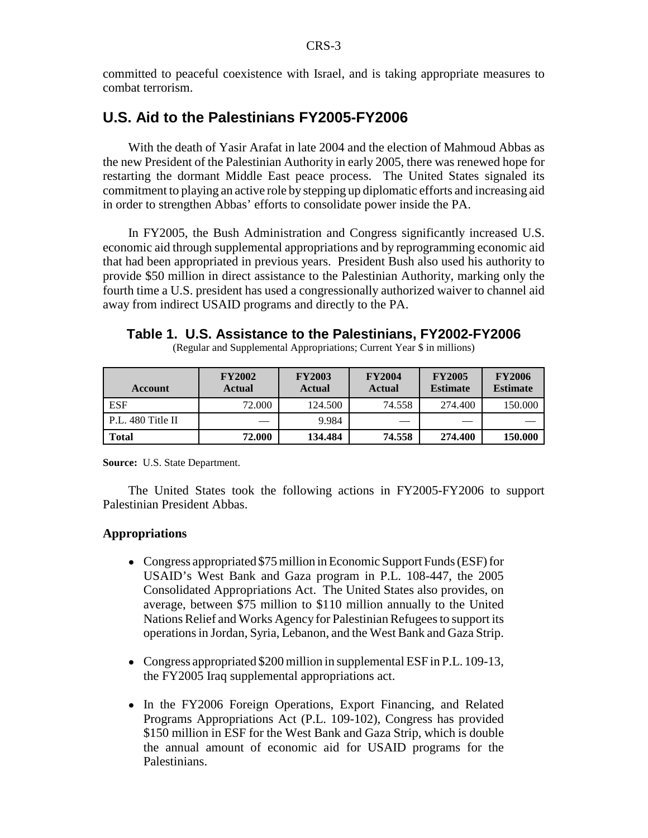committed to peaceful coexistence with Israel, and is taking appropriate measures to combat terrorism.

## **U.S. Aid to the Palestinians FY2005-FY2006**

With the death of Yasir Arafat in late 2004 and the election of Mahmoud Abbas as the new President of the Palestinian Authority in early 2005, there was renewed hope for restarting the dormant Middle East peace process. The United States signaled its commitment to playing an active role by stepping up diplomatic efforts and increasing aid in order to strengthen Abbas' efforts to consolidate power inside the PA.

In FY2005, the Bush Administration and Congress significantly increased U.S. economic aid through supplemental appropriations and by reprogramming economic aid that had been appropriated in previous years. President Bush also used his authority to provide \$50 million in direct assistance to the Palestinian Authority, marking only the fourth time a U.S. president has used a congressionally authorized waiver to channel aid away from indirect USAID programs and directly to the PA.

**Table 1. U.S. Assistance to the Palestinians, FY2002-FY2006**

(Regular and Supplemental Appropriations; Current Year \$ in millions)

| Account           | <b>FY2002</b><br>Actual  | <b>FY2003</b><br>Actual | <b>FY2004</b><br>Actual | <b>FY2005</b><br><b>Estimate</b> | <b>FY2006</b><br><b>Estimate</b> |
|-------------------|--------------------------|-------------------------|-------------------------|----------------------------------|----------------------------------|
| <b>ESF</b>        | 72.000                   | 124.500                 | 74.558                  | 274.400                          | 150.000                          |
| P.L. 480 Title II | $\overline{\phantom{a}}$ | 9.984                   |                         |                                  |                                  |
| Total             | 72.000                   | 134.484                 | 74.558                  | 274.400                          | 150.000                          |

**Source:** U.S. State Department.

The United States took the following actions in FY2005-FY2006 to support Palestinian President Abbas.

#### **Appropriations**

- Congress appropriated \$75 million in Economic Support Funds (ESF) for USAID's West Bank and Gaza program in P.L. 108-447, the 2005 Consolidated Appropriations Act. The United States also provides, on average, between \$75 million to \$110 million annually to the United Nations Relief and Works Agency for Palestinian Refugees to support its operations in Jordan, Syria, Lebanon, and the West Bank and Gaza Strip.
- Congress appropriated \$200 million in supplemental ESF in P.L. 109-13, the FY2005 Iraq supplemental appropriations act.
- In the FY2006 Foreign Operations, Export Financing, and Related Programs Appropriations Act (P.L. 109-102), Congress has provided \$150 million in ESF for the West Bank and Gaza Strip, which is double the annual amount of economic aid for USAID programs for the Palestinians.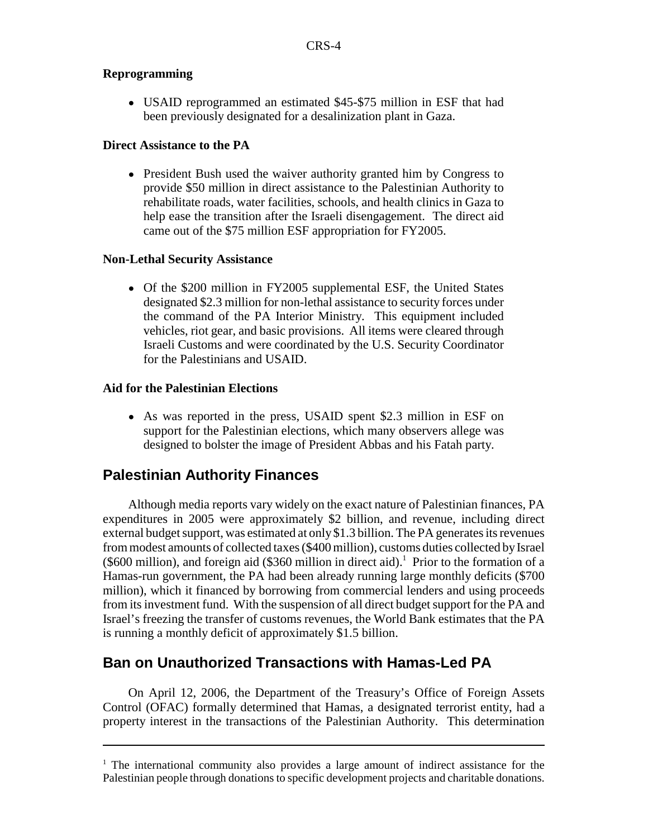#### **Reprogramming**

• USAID reprogrammed an estimated \$45-\$75 million in ESF that had been previously designated for a desalinization plant in Gaza.

#### **Direct Assistance to the PA**

• President Bush used the waiver authority granted him by Congress to provide \$50 million in direct assistance to the Palestinian Authority to rehabilitate roads, water facilities, schools, and health clinics in Gaza to help ease the transition after the Israeli disengagement. The direct aid came out of the \$75 million ESF appropriation for FY2005.

#### **Non-Lethal Security Assistance**

• Of the \$200 million in FY2005 supplemental ESF, the United States designated \$2.3 million for non-lethal assistance to security forces under the command of the PA Interior Ministry. This equipment included vehicles, riot gear, and basic provisions. All items were cleared through Israeli Customs and were coordinated by the U.S. Security Coordinator for the Palestinians and USAID.

#### **Aid for the Palestinian Elections**

• As was reported in the press, USAID spent \$2.3 million in ESF on support for the Palestinian elections, which many observers allege was designed to bolster the image of President Abbas and his Fatah party.

# **Palestinian Authority Finances**

Although media reports vary widely on the exact nature of Palestinian finances, PA expenditures in 2005 were approximately \$2 billion, and revenue, including direct external budget support, was estimated at only \$1.3 billion. The PA generates its revenues from modest amounts of collected taxes (\$400 million), customs duties collected by Israel  $(\$600$  million), and foreign aid  $(\$360$  million in direct aid).<sup>1</sup> Prior to the formation of a Hamas-run government, the PA had been already running large monthly deficits (\$700 million), which it financed by borrowing from commercial lenders and using proceeds from its investment fund. With the suspension of all direct budget support for the PA and Israel's freezing the transfer of customs revenues, the World Bank estimates that the PA is running a monthly deficit of approximately \$1.5 billion.

# **Ban on Unauthorized Transactions with Hamas-Led PA**

On April 12, 2006, the Department of the Treasury's Office of Foreign Assets Control (OFAC) formally determined that Hamas, a designated terrorist entity, had a property interest in the transactions of the Palestinian Authority. This determination

<sup>&</sup>lt;sup>1</sup> The international community also provides a large amount of indirect assistance for the Palestinian people through donations to specific development projects and charitable donations.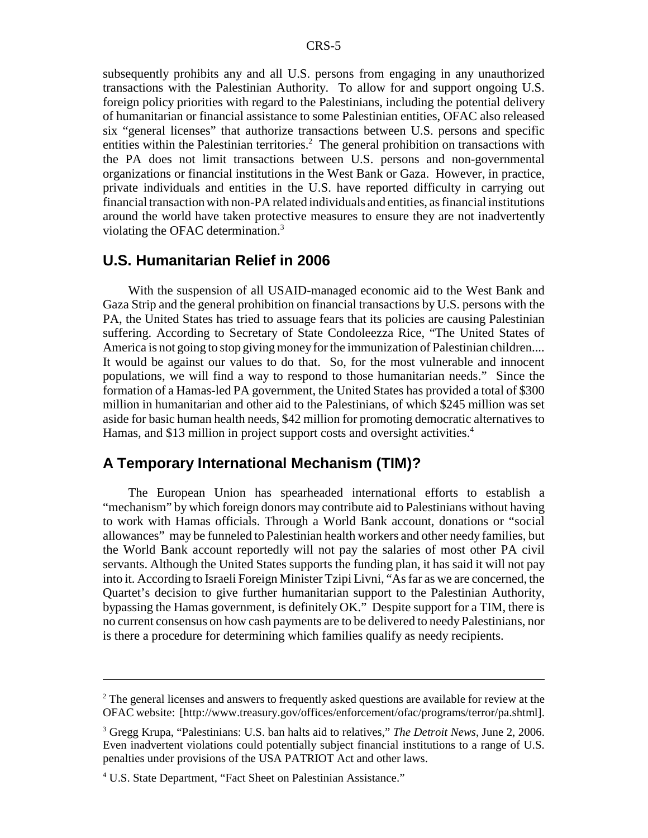subsequently prohibits any and all U.S. persons from engaging in any unauthorized transactions with the Palestinian Authority. To allow for and support ongoing U.S. foreign policy priorities with regard to the Palestinians, including the potential delivery of humanitarian or financial assistance to some Palestinian entities, OFAC also released six "general licenses" that authorize transactions between U.S. persons and specific entities within the Palestinian territories.<sup>2</sup> The general prohibition on transactions with the PA does not limit transactions between U.S. persons and non-governmental organizations or financial institutions in the West Bank or Gaza. However, in practice, private individuals and entities in the U.S. have reported difficulty in carrying out financial transaction with non-PA related individuals and entities, as financial institutions around the world have taken protective measures to ensure they are not inadvertently violating the OFAC determination.<sup>3</sup>

#### **U.S. Humanitarian Relief in 2006**

With the suspension of all USAID-managed economic aid to the West Bank and Gaza Strip and the general prohibition on financial transactions by U.S. persons with the PA, the United States has tried to assuage fears that its policies are causing Palestinian suffering. According to Secretary of State Condoleezza Rice, "The United States of America is not going to stop giving money for the immunization of Palestinian children.... It would be against our values to do that. So, for the most vulnerable and innocent populations, we will find a way to respond to those humanitarian needs." Since the formation of a Hamas-led PA government, the United States has provided a total of \$300 million in humanitarian and other aid to the Palestinians, of which \$245 million was set aside for basic human health needs, \$42 million for promoting democratic alternatives to Hamas, and \$13 million in project support costs and oversight activities.<sup>4</sup>

#### **A Temporary International Mechanism (TIM)?**

The European Union has spearheaded international efforts to establish a "mechanism" by which foreign donors may contribute aid to Palestinians without having to work with Hamas officials. Through a World Bank account, donations or "social allowances" may be funneled to Palestinian health workers and other needy families, but the World Bank account reportedly will not pay the salaries of most other PA civil servants. Although the United States supports the funding plan, it has said it will not pay into it. According to Israeli Foreign Minister Tzipi Livni, "As far as we are concerned, the Quartet's decision to give further humanitarian support to the Palestinian Authority, bypassing the Hamas government, is definitely OK." Despite support for a TIM, there is no current consensus on how cash payments are to be delivered to needy Palestinians, nor is there a procedure for determining which families qualify as needy recipients.

<sup>&</sup>lt;sup>2</sup> The general licenses and answers to frequently asked questions are available for review at the OFAC website: [http://www.treasury.gov/offices/enforcement/ofac/programs/terror/pa.shtml].

<sup>3</sup> Gregg Krupa, "Palestinians: U.S. ban halts aid to relatives," *The Detroit News*, June 2, 2006. Even inadvertent violations could potentially subject financial institutions to a range of U.S. penalties under provisions of the USA PATRIOT Act and other laws.

<sup>&</sup>lt;sup>4</sup> U.S. State Department, "Fact Sheet on Palestinian Assistance."